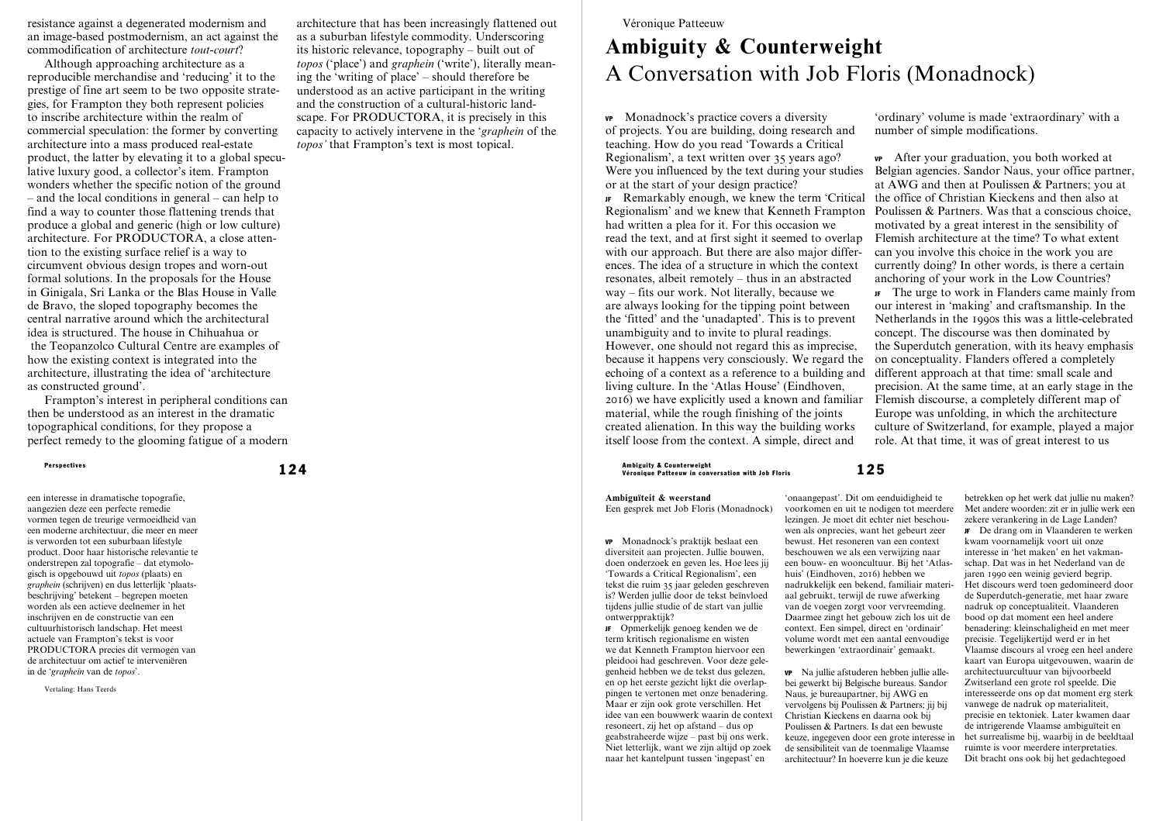resistance against a degenerated modernism and an image-based postmodernism, an act against the commodification of architecture *tout-court*?

Although approaching architecture as a reproducible merchandise and 'reducing' it to the prestige of fine art seem to be two opposite strategies, for Frampton they both represent policies to inscribe architecture within the realm of commercial speculation: the former by converting architecture into a mass produced real-estate product, the latter by elevating it to a global speculative luxury good, a collector's item. Frampton wonders whether the specific notion of the ground – and the local conditions in general – can help to find a way to counter those flattening trends that produce a global and generic (high or low culture) architecture. For PRODUCTORA, a close attention to the existing surface relief is a way to circumvent obvious design tropes and worn-out formal solutions. In the proposals for the House in Ginigala, Sri Lanka or the Blas House in Valle de Bravo, the sloped topography becomes the central narrative around which the architectural idea is structured. The house in Chihuahua or the Teopanzolco Cultural Centre are examples of how the existing context is integrated into the architecture, illustrating the idea of 'architecture as constructed ground'.

Frampton's interest in peripheral conditions can then be understood as an interest in the dramatic topographical conditions, for they propose a perfect remedy to the glooming fatigue of a modern

een interesse in dramatische topografie, aangezien deze een perfecte remedie vormen tegen de treurige vermoeidheid van een moderne architectuur, die meer en meer is verworden tot een suburbaan lifestyle product. Door haar historische relevantie te onderstrepen zal topografie – dat etymologisch is opgebouwd uit *topos* (plaats) en *graphein* (schrijven) en dus letterlijk 'plaatsbeschrijving' betekent – begrepen moeten worden als een actieve deelnemer in het inschrijven en de constructie van een cultuurhistorisch landschap. Het meest actuele van Frampton's tekst is voor PRODUCTORA precies dit vermogen van de architectuur om actief te interveniëren in de '*graphein* van de *topos*'.

Vertaling: Hans Teerds

architecture that has been increasingly flattened out as a suburban lifestyle commodity. Underscoring its historic relevance, topography – built out of *topos* ('place') and *graphein* ('write'), literally meaning the 'writing of place' – should therefore be understood as an active participant in the writing and the construction of a cultural-historic landscape. For PRODUCTORA, it is precisely in this capacity to actively intervene in the '*graphein* of the *topos'* that Frampton's text is most topical.

## Véronique Patteeuw

# **Ambiguity & Counterweight**  A Conversation with Job Floris (Monadnock)

huis' (Eindhoven, 2016) hebben we

VP Monadnock's practice covers a diversity of projects. You are building, doing research and teaching. How do you read 'Towards a Critical Regionalism', a text written over 35 years ago? or at the start of your design practice?

JF Remarkably enough, we knew the term 'Critical Regionalism' and we knew that Kenneth Frampton had written a plea for it. For this occasion we read the text, and at first sight it seemed to overlap with our approach. But there are also major differences. The idea of a structure in which the context resonates, albeit remotely – thus in an abstracted way – fits our work. Not literally, because we are always looking for the tipping point between the 'fitted' and the 'unadapted'. This is to prevent unambiguity and to invite to plural readings. However, one should not regard this as imprecise, because it happens very consciously. We regard the echoing of a context as a reference to a building and living culture. In the 'Atlas House' (Eindhoven, 2016) we have explicitly used a known and familiar Flemish discourse, a completely different map of material, while the rough finishing of the joints created alienation. In this way the building works itself loose from the context. A simple, direct and

Perspectives the supercrise of the counterweight of the series of the counterweight of the series of the counterweight  $125\,$ 

**Ambiguïteit & weerstand** 

doen onderzoek en geven les. Hoe lees jij

JF Opmerkelijk genoeg kenden we de term kritisch regionalisme en wisten we dat Kenneth Frampton hiervoor een pleidooi had geschreven. Voor deze gelegenheid hebben we de tekst dus gelezen, en op het eerste gezicht lijkt die overlappingen te vertonen met onze benadering. Maar er zijn ook grote verschillen. Het idee van een bouwwerk waarin de context resoneert, zij het op afstand – dus op geabstraheerde wijze – past bij ons werk. Niet letterlijk, want we zijn altijd op zoek naar het kantelpunt tussen 'ingepast' en

'ordinary' volume is made 'extraordinary' with a number of simple modifications.

Were you influenced by the text during your studies Belgian agencies. Sandor Naus, your office partner, VP After your graduation, you both worked at at AWG and then at Poulissen & Partners; you at the office of Christian Kieckens and then also at Poulissen & Partners. Was that a conscious choice, motivated by a great interest in the sensibility of Flemish architecture at the time? To what extent can you involve this choice in the work you are currently doing? In other words, is there a certain anchoring of your work in the Low Countries?

> JF The urge to work in Flanders came mainly from our interest in 'making' and craftsmanship. In the Netherlands in the 1990s this was a little-celebrated concept. The discourse was then dominated by the Superdutch generation, with its heavy emphasis on conceptuality. Flanders offered a completely different approach at that time: small scale and precision. At the same time, at an early stage in the Europe was unfolding, in which the architecture culture of Switzerland, for example, played a major role. At that time, it was of great interest to us

'onaangepast'. Dit om eenduidigheid te voorkomen en uit te nodigen tot meerdere lezingen. Je moet dit echter niet beschouwen als onprecies, want het gebeurt zeer bewust. Het resoneren van een context beschouwen we als een verwijzing naar een bouw- en wooncultuur. Bij het 'Atlasnadrukkelijk een bekend, familiair materiaal gebruikt, terwijl de ruwe afwerking van de voegen zorgt voor vervreemding. Daarmee zingt het gebouw zich los uit de volume wordt met een aantal eenvoudige VP Na jullie afstuderen hebben jullie allebei gewerkt bij Belgische bureaus. Sandor vervolgens bij Poulissen & Partners; jij bij keuze, ingegeven door een grote interesse in betrekken op het werk dat jullie nu maken? Met andere woorden: zit er in jullie werk een zekere verankering in de Lage Landen? JF De drang om in Vlaanderen te werken kwam voornamelijk voort uit onze interesse in 'het maken' en het vakmanschap. Dat was in het Nederland van de jaren 1990 een weinig gevierd begrip. Het discours werd toen gedomineerd door de Superdutch-generatie, met haar zware nadruk op conceptualiteit. Vlaanderen bood op dat moment een heel andere benadering: kleinschaligheid en met meer precisie. Tegelijkertijd werd er in het Vlaamse discours al vroeg een heel andere kaart van Europa uitgevouwen, waarin de architectuurcultuur van bijvoorbeeld Zwitserland een grote rol speelde. Die interesseerde ons op dat moment erg sterk vanwege de nadruk op materialiteit, precisie en tektoniek. Later kwamen daar de intrigerende Vlaamse ambiguïteit en het surrealisme bij, waarbij in de beeldtaal

ruimte is voor meerdere interpretaties. Dit bracht ons ook bij het gedachtegoed

Een gesprek met Job Floris (Monadnock) VP Monadnock's praktijk beslaat een diversiteit aan projecten. Jullie bouwen,

'Towards a Critical Regionalism', een tekst die ruim 35 jaar geleden geschreven is? Werden jullie door de tekst beïnvloed tijdens jullie studie of de start van jullie ontwerppraktijk?

context. Een simpel, direct en 'ordinair' bewerkingen 'extraordinair' gemaakt. Naus, je bureaupartner, bij AWG en Christian Kieckens en daarna ook bij Poulissen & Partners. Is dat een bewuste de sensibiliteit van de toenmalige Vlaamse architectuur? In hoeverre kun je die keuze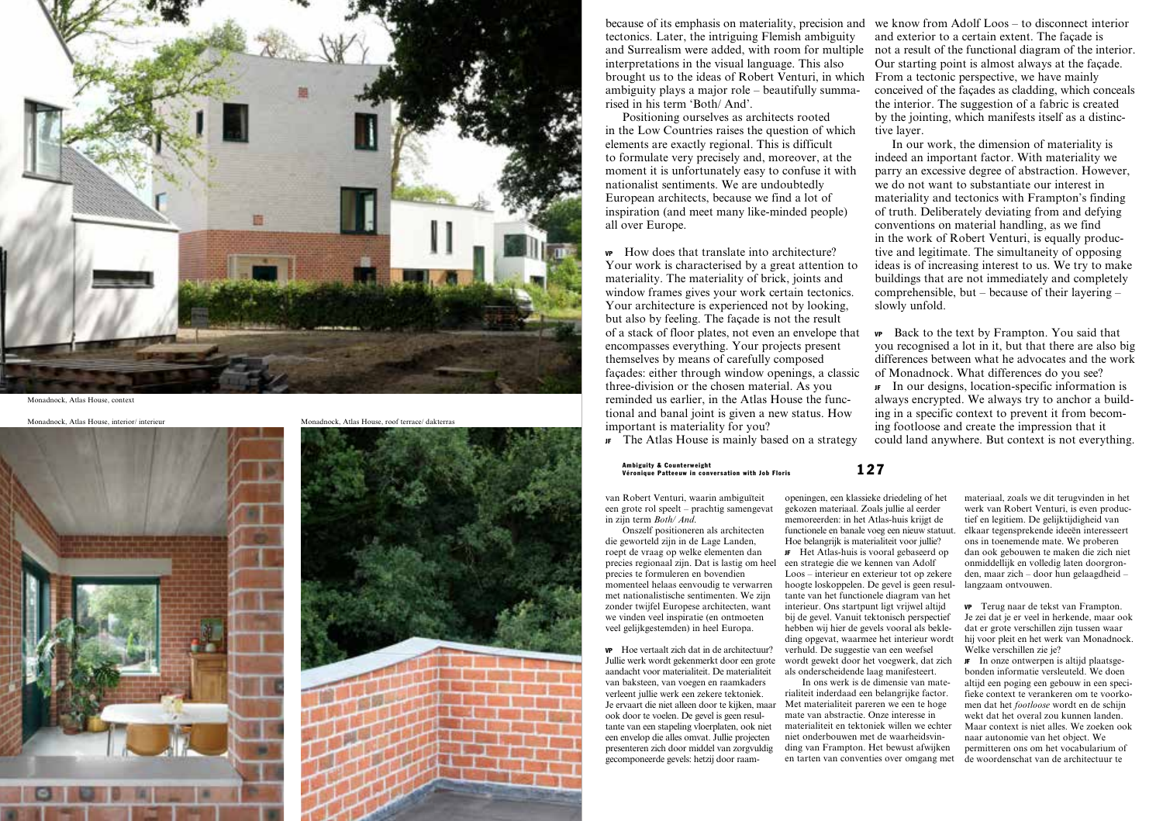

Monadnock, Atlas House, context

Monadnock, Atlas House, interior/ interieur Monadnock, Atlas House, roof terrace/ dakterras





because of its emphasis on materiality, precision and tectonics. Later, the intriguing Flemish ambiguity and Surrealism were added, with room for multiple not a result of the functional diagram of the interior. interpretations in the visual language. This also brought us to the ideas of Robert Venturi, in which ambiguity plays a major role – beautifully summa rised in his term 'Both/ And'.

Positioning ourselves as architects rooted in the Low Countries raises the question of which elements are exactly regional. This is difficult to formulate very precisely and, moreover, at the moment it is unfortunately easy to confuse it with nationalist sentiments. We are undoubtedly European architects, because we find a lot of inspiration (and meet many like-minded people) all over Europe.

VP How does that translate into architecture? Your work is characterised by a great attention to materiality. The materiality of brick, joints and window frames gives your work certain tectonics. Your architecture is experienced not by looking, but also by feeling. The façade is not the result of a stack of floor plates, not even an envelope that encompasses everything. Your projects present themselves by means of carefully composed façades: either through window openings, a classic three-division or the chosen material. As you reminded us earlier, in the Atlas House the func tional and banal joint is given a new status. How important is materiality for you?

JF The Atlas House is mainly based on a strategy

## 127 Ambiguity & Counterweight Véronique Patteeuw in conversation with Job Floris

van Robert Venturi, waarin ambiguïteit een grote rol speelt – prachtig samengevat in zijn term *Both/ And* .

Onszelf positioneren als architecten die geworteld zijn in de Lage Landen, roept de vraag op welke elementen dan precies regionaal zijn. Dat is lastig om heel precies te formuleren en bovendien momenteel helaas eenvoudig te verwarren met nationalistische sentimenten. We zijn zonder twijfel Europese architecten, want we vinden veel inspiratie (en ontmoeten veel gelijkgestemden) in heel Europa.

VP Hoe vertaalt zich dat in de architectuur? Jullie werk wordt gekenmerkt door een grote aandacht voor materialiteit. De materialiteit van baksteen, van voegen en raamkaders verleent jullie werk een zekere tektoniek. Je ervaart die niet alleen door te kijken, maar ook door te voelen. De gevel is geen resul tante van een stapeling vloerplaten, ook niet een envelop die alles omvat. Jullie projecten presenteren zich door middel van zorgvuldig gecomponeerde gevels: hetzij door raam -

openingen, een klassieke driedeling of het gekozen materiaal. Zoals jullie al eerder memoreerden: in het Atlas-huis krijgt de functionele en banale voeg een nieuw statuut. Hoe belangrijk is materialiteit voor jullie? JF Het Atlas-huis is vooral gebaseerd op een strategie die we kennen van Adolf Loos – interieur en exterieur tot op zekere hoogte loskoppelen. De gevel is geen resul tante van het functionele diagram van het interieur. Ons startpunt ligt vrijwel altijd bij de gevel. Vanuit tektonisch perspectief hebben wij hier de gevels vooral als bekle ding opgevat, waarmee het interieur wordt verhuld. De suggestie van een weefsel wordt gewekt door het voegwerk, dat zich als onderscheidende laag manifesteert.

In ons werk is de dimensie van mate rialiteit inderdaad een belangrijke factor. Met materialiteit pareren we een te hoge mate van abstractie. Onze interesse in materialiteit en tektoniek willen we echter niet onderbouwen met de waarheidsvin ding van Frampton. Het bewust afwijken en tarten van conventies over omgang met

we know from Adolf Loos – to disconnect interior and exterior to a certain extent. The façade is Our starting point is almost always at the façade. From a tectonic perspective, we have mainly conceived of the façades as cladding, which conceals the interior. The suggestion of a fabric is created by the jointing, which manifests itself as a distinc tive layer.

In our work, the dimension of materiality is indeed an important factor. With materiality we parry an excessive degree of abstraction. However, we do not want to substantiate our interest in materiality and tectonics with Frampton's finding of truth. Deliberately deviating from and defying conventions on material handling, as we find in the work of Robert Venturi, is equally produc tive and legitimate. The simultaneity of opposing ideas is of increasing interest to us. We try to make buildings that are not immediately and completely comprehensible, but – because of their layering – slowly unfold.

VP Back to the text by Frampton. You said that you recognised a lot in it, but that there are also big differences between what he advocates and the work of Monadnock. What differences do you see?

JF In our designs, location-specific information is always encrypted. We always try to anchor a build ing in a specific context to prevent it from becom ing footloose and create the impression that it could land anywhere. But context is not everything.

> materiaal, zoals we dit terugvinden in het werk van Robert Venturi, is even produc tief en legitiem. De gelijktijdigheid van elkaar tegensprekende ideeën interesseert ons in toenemende mate. We proberen dan ook gebouwen te maken die zich niet onmiddellijk en volledig laten doorgron den, maar zich – door hun gelaagdheid – langzaam ontvouwen.

> VP Terug naar de tekst van Frampton. Je zei dat je er veel in herkende, maar ook dat er grote verschillen zijn tussen waar hij voor pleit en het werk van Monadnock. Welke verschillen zie je?

> JF In onze ontwerpen is altijd plaatsge bonden informatie versleuteld. We doen altijd een poging een gebouw in een speci fieke context te verankeren om te voorko men dat het *footloose* wordt en de schijn wekt dat het overal zou kunnen landen. Maar context is niet alles. We zoeken ook naar autonomie van het object. We permitteren ons om het vocabularium of de woordenschat van de architectuur te